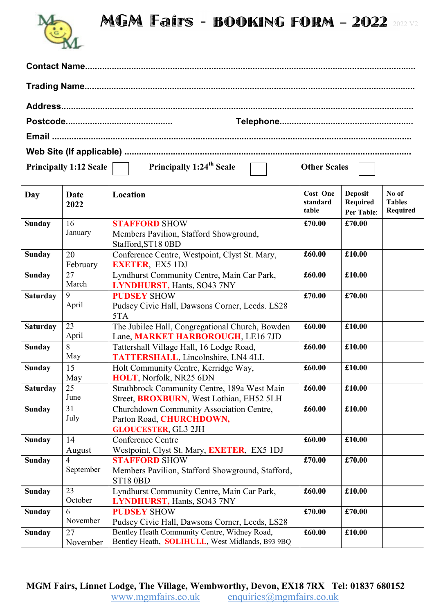## MGM Fairs - BOOKING FORM - 2022 2022 V2



| Principally 1:12 Scale | Principally 1:24 <sup>th</sup> Scale | Other Scales |  |
|------------------------|--------------------------------------|--------------|--|

| Day             | <b>Date</b><br>2022 | Location                                         | <b>Cost One</b><br>standard<br>table | <b>Deposit</b><br><b>Required</b><br><b>Per Table:</b> | No of<br><b>Tables</b><br><b>Required</b> |
|-----------------|---------------------|--------------------------------------------------|--------------------------------------|--------------------------------------------------------|-------------------------------------------|
| <b>Sunday</b>   | 16                  | <b>STAFFORD SHOW</b>                             | £70.00                               | £70.00                                                 |                                           |
|                 | January             | Members Pavilion, Stafford Showground,           |                                      |                                                        |                                           |
|                 |                     | Stafford, ST18 0BD                               |                                      |                                                        |                                           |
| <b>Sunday</b>   | 20                  | Conference Centre, Westpoint, Clyst St. Mary,    | £60.00                               | £10.00                                                 |                                           |
|                 | February            | <b>EXETER, EX5 1DJ</b>                           |                                      |                                                        |                                           |
| <b>Sunday</b>   | 27                  | Lyndhurst Community Centre, Main Car Park,       | £60.00                               | £10.00                                                 |                                           |
|                 | March               | <b>LYNDHURST, Hants, SO43 7NY</b>                |                                      |                                                        |                                           |
| <b>Saturday</b> | 9                   | <b>PUDSEY SHOW</b>                               | £70.00                               | £70.00                                                 |                                           |
|                 | April               | Pudsey Civic Hall, Dawsons Corner, Leeds. LS28   |                                      |                                                        |                                           |
|                 |                     | 5TA                                              |                                      |                                                        |                                           |
| <b>Saturday</b> | 23                  | The Jubilee Hall, Congregational Church, Bowden  | £60.00                               | £10.00                                                 |                                           |
|                 | April               | Lane, MARKET HARBOROUGH, LE16 7JD                |                                      |                                                        |                                           |
| <b>Sunday</b>   |                     | Tattershall Village Hall, 16 Lodge Road,         | £60.00                               | £10.00                                                 |                                           |
|                 | May                 | TATTERSHALL, Lincolnshire, LN4 4LL               |                                      |                                                        |                                           |
| <b>Sunday</b>   | 15                  | Holt Community Centre, Kerridge Way,             | £60.00                               | £10.00                                                 |                                           |
|                 | May                 | HOLT, Norfolk, NR25 6DN                          |                                      |                                                        |                                           |
| <b>Saturday</b> | $\overline{25}$     | Strathbrock Community Centre, 189a West Main     | £60.00                               | £10.00                                                 |                                           |
|                 | June                | Street, <b>BROXBURN</b> , West Lothian, EH52 5LH |                                      |                                                        |                                           |
| <b>Sunday</b>   | 31                  | Churchdown Community Association Centre,         | £60.00                               | £10.00                                                 |                                           |
|                 | July                | Parton Road, CHURCHDOWN,                         |                                      |                                                        |                                           |
|                 |                     | <b>GLOUCESTER, GL3 2JH</b>                       |                                      |                                                        |                                           |
| <b>Sunday</b>   | 14                  | <b>Conference Centre</b>                         | £60.00                               | £10.00                                                 |                                           |
|                 | August              | Westpoint, Clyst St. Mary, EXETER, EX5 1DJ       |                                      |                                                        |                                           |
| <b>Sunday</b>   | $\overline{4}$      | <b>STAFFORD SHOW</b>                             | £70.00                               | £70.00                                                 |                                           |
|                 | September           | Members Pavilion, Stafford Showground, Stafford, |                                      |                                                        |                                           |
|                 |                     | <b>ST18 0BD</b>                                  |                                      |                                                        |                                           |
| <b>Sunday</b>   | $\overline{23}$     | Lyndhurst Community Centre, Main Car Park,       | £60.00                               | £10.00                                                 |                                           |
|                 | October             | <b>LYNDHURST, Hants, SO43 7NY</b>                |                                      |                                                        |                                           |
| <b>Sunday</b>   | 6                   | <b>PUDSEY SHOW</b>                               | £70.00                               | £70.00                                                 |                                           |
|                 | November            | Pudsey Civic Hall, Dawsons Corner, Leeds, LS28   |                                      |                                                        |                                           |
| <b>Sunday</b>   | 27                  | Bentley Heath Community Centre, Widney Road,     | £60.00                               | £10.00                                                 |                                           |
|                 | November            | Bentley Heath, SOLIHULL, West Midlands, B93 9BQ  |                                      |                                                        |                                           |